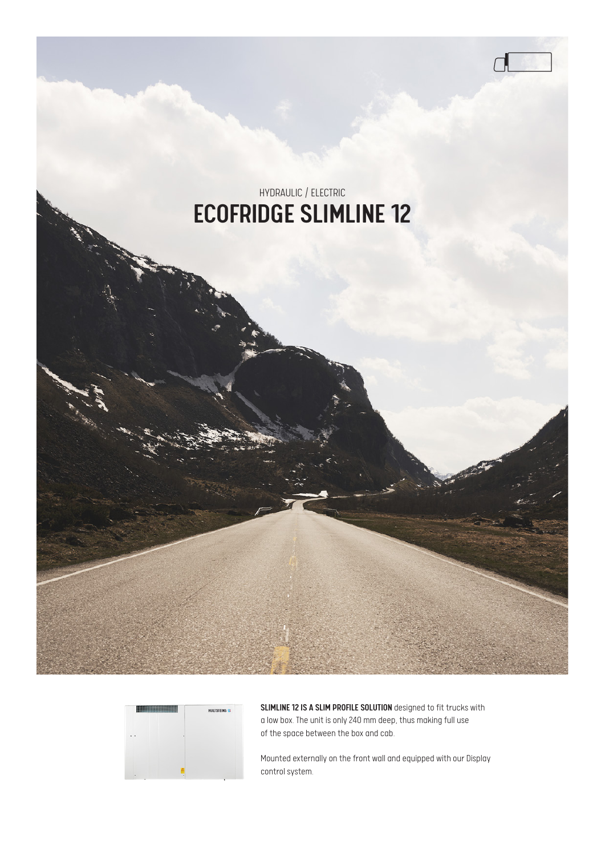# $\Box$ HYDRAULIC / ELECTRIC ECOFRIDGE SLIMLINE 12



SLIMLINE 12 IS A SLIM PROFILE SOLUTION designed to fit trucks with a low box. The unit is only 240 mm deep, thus making full use of the space between the box and cab.

Mounted externally on the front wall and equipped with our Display control system.